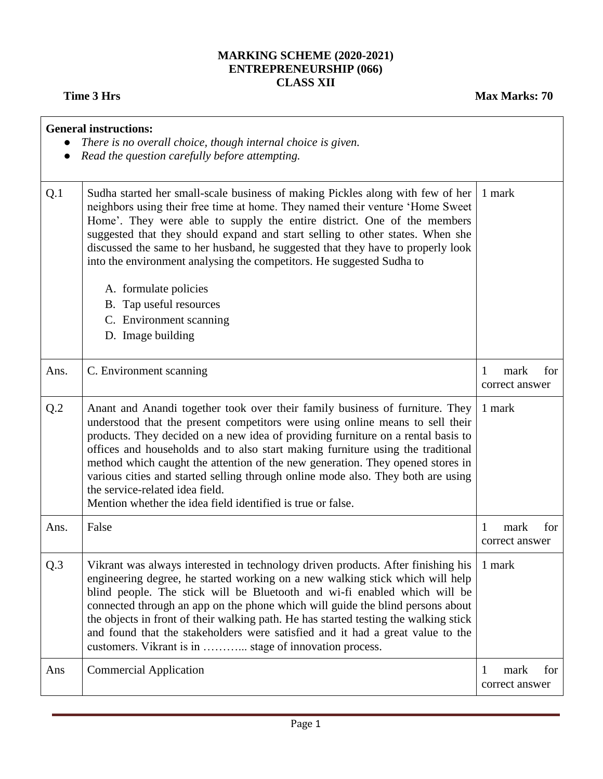## **MARKING SCHEME (2020-2021) ENTREPRENEURSHIP (066) CLASS XII**

|                 | <b>General instructions:</b><br>There is no overall choice, though internal choice is given.<br>Read the question carefully before attempting.                                                                                                                                                                                                                                                                                                                                                                                                                                                               |                                    |
|-----------------|--------------------------------------------------------------------------------------------------------------------------------------------------------------------------------------------------------------------------------------------------------------------------------------------------------------------------------------------------------------------------------------------------------------------------------------------------------------------------------------------------------------------------------------------------------------------------------------------------------------|------------------------------------|
| Q.1             | Sudha started her small-scale business of making Pickles along with few of her<br>neighbors using their free time at home. They named their venture 'Home Sweet<br>Home'. They were able to supply the entire district. One of the members<br>suggested that they should expand and start selling to other states. When she<br>discussed the same to her husband, he suggested that they have to properly look<br>into the environment analysing the competitors. He suggested Sudha to                                                                                                                      | 1 mark                             |
|                 | A. formulate policies                                                                                                                                                                                                                                                                                                                                                                                                                                                                                                                                                                                        |                                    |
|                 | B. Tap useful resources                                                                                                                                                                                                                                                                                                                                                                                                                                                                                                                                                                                      |                                    |
|                 | C. Environment scanning                                                                                                                                                                                                                                                                                                                                                                                                                                                                                                                                                                                      |                                    |
|                 | D. Image building                                                                                                                                                                                                                                                                                                                                                                                                                                                                                                                                                                                            |                                    |
| Ans.            | C. Environment scanning                                                                                                                                                                                                                                                                                                                                                                                                                                                                                                                                                                                      | 1<br>mark<br>for<br>correct answer |
| Q.2             | Anant and Anandi together took over their family business of furniture. They<br>understood that the present competitors were using online means to sell their<br>products. They decided on a new idea of providing furniture on a rental basis to<br>offices and households and to also start making furniture using the traditional<br>method which caught the attention of the new generation. They opened stores in<br>various cities and started selling through online mode also. They both are using<br>the service-related idea field.<br>Mention whether the idea field identified is true or false. | 1 mark                             |
| Ans.            | False                                                                                                                                                                                                                                                                                                                                                                                                                                                                                                                                                                                                        | for<br>1<br>mark<br>correct answer |
| Q <sub>.3</sub> | Vikrant was always interested in technology driven products. After finishing his<br>engineering degree, he started working on a new walking stick which will help<br>blind people. The stick will be Bluetooth and wi-fi enabled which will be<br>connected through an app on the phone which will guide the blind persons about<br>the objects in front of their walking path. He has started testing the walking stick<br>and found that the stakeholders were satisfied and it had a great value to the<br>customers. Vikrant is in  stage of innovation process.                                         | 1 mark                             |
| Ans             | <b>Commercial Application</b>                                                                                                                                                                                                                                                                                                                                                                                                                                                                                                                                                                                | 1<br>mark<br>for<br>correct answer |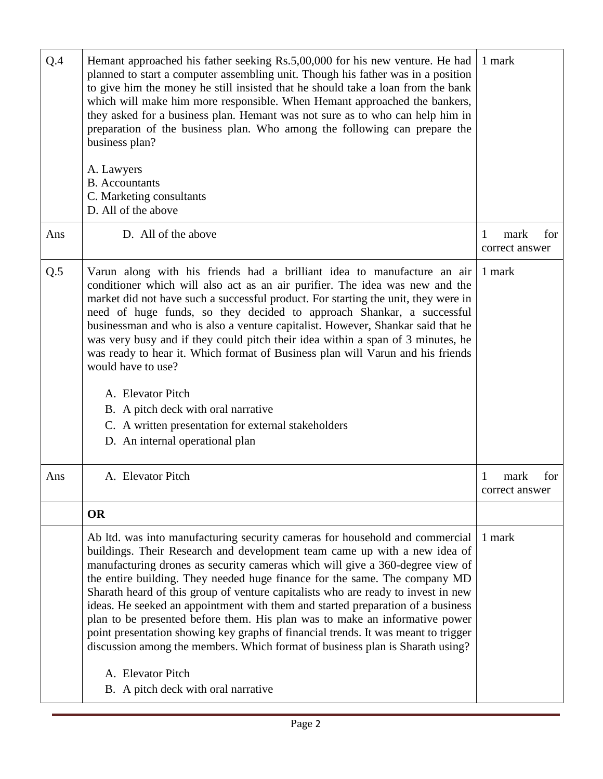| Q.4 | Hemant approached his father seeking Rs.5,00,000 for his new venture. He had<br>planned to start a computer assembling unit. Though his father was in a position<br>to give him the money he still insisted that he should take a loan from the bank<br>which will make him more responsible. When Hemant approached the bankers,<br>they asked for a business plan. Hemant was not sure as to who can help him in<br>preparation of the business plan. Who among the following can prepare the<br>business plan?<br>A. Lawyers<br><b>B.</b> Accountants<br>C. Marketing consultants<br>D. All of the above                                                                                                                                                                                                        | 1 mark                             |
|-----|--------------------------------------------------------------------------------------------------------------------------------------------------------------------------------------------------------------------------------------------------------------------------------------------------------------------------------------------------------------------------------------------------------------------------------------------------------------------------------------------------------------------------------------------------------------------------------------------------------------------------------------------------------------------------------------------------------------------------------------------------------------------------------------------------------------------|------------------------------------|
| Ans | D. All of the above                                                                                                                                                                                                                                                                                                                                                                                                                                                                                                                                                                                                                                                                                                                                                                                                | for<br>mark<br>1<br>correct answer |
| Q.5 | Varun along with his friends had a brilliant idea to manufacture an air<br>conditioner which will also act as an air purifier. The idea was new and the<br>market did not have such a successful product. For starting the unit, they were in<br>need of huge funds, so they decided to approach Shankar, a successful<br>businessman and who is also a venture capitalist. However, Shankar said that he<br>was very busy and if they could pitch their idea within a span of 3 minutes, he<br>was ready to hear it. Which format of Business plan will Varun and his friends<br>would have to use?<br>A. Elevator Pitch<br>B. A pitch deck with oral narrative<br>C. A written presentation for external stakeholders<br>D. An internal operational plan                                                         | 1 mark                             |
| Ans | A. Elevator Pitch                                                                                                                                                                                                                                                                                                                                                                                                                                                                                                                                                                                                                                                                                                                                                                                                  | mark<br>for<br>1<br>correct answer |
|     | <b>OR</b>                                                                                                                                                                                                                                                                                                                                                                                                                                                                                                                                                                                                                                                                                                                                                                                                          |                                    |
|     | Ab ltd. was into manufacturing security cameras for household and commercial<br>buildings. Their Research and development team came up with a new idea of<br>manufacturing drones as security cameras which will give a 360-degree view of<br>the entire building. They needed huge finance for the same. The company MD<br>Sharath heard of this group of venture capitalists who are ready to invest in new<br>ideas. He seeked an appointment with them and started preparation of a business<br>plan to be presented before them. His plan was to make an informative power<br>point presentation showing key graphs of financial trends. It was meant to trigger<br>discussion among the members. Which format of business plan is Sharath using?<br>A. Elevator Pitch<br>B. A pitch deck with oral narrative | 1 mark                             |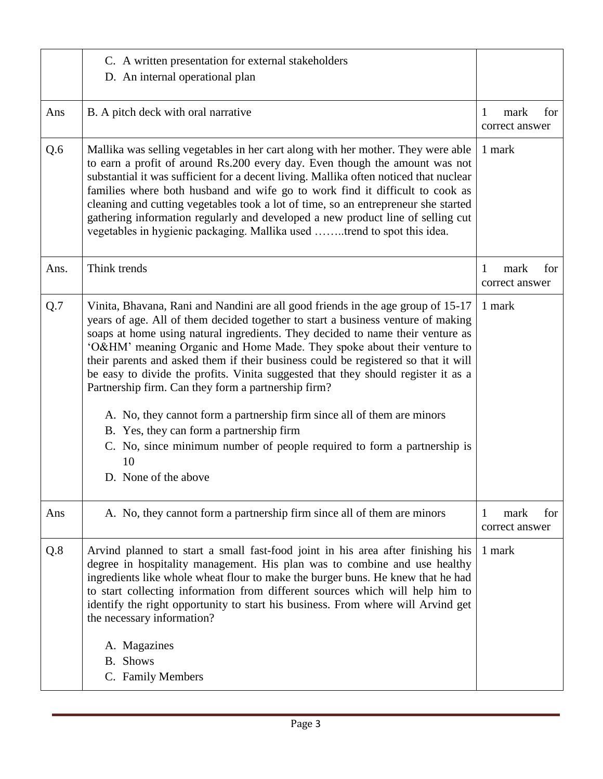| C. A written presentation for external stakeholders<br>D. An internal operational plan                                                                                                                                                                                                                                                                                                                                                                                                                                                                                                                                                                                                                                                                                                              |                                    |
|-----------------------------------------------------------------------------------------------------------------------------------------------------------------------------------------------------------------------------------------------------------------------------------------------------------------------------------------------------------------------------------------------------------------------------------------------------------------------------------------------------------------------------------------------------------------------------------------------------------------------------------------------------------------------------------------------------------------------------------------------------------------------------------------------------|------------------------------------|
| B. A pitch deck with oral narrative                                                                                                                                                                                                                                                                                                                                                                                                                                                                                                                                                                                                                                                                                                                                                                 | for<br>mark<br>1<br>correct answer |
| Mallika was selling vegetables in her cart along with her mother. They were able<br>to earn a profit of around Rs.200 every day. Even though the amount was not<br>substantial it was sufficient for a decent living. Mallika often noticed that nuclear<br>families where both husband and wife go to work find it difficult to cook as<br>cleaning and cutting vegetables took a lot of time, so an entrepreneur she started<br>gathering information regularly and developed a new product line of selling cut<br>vegetables in hygienic packaging. Mallika used trend to spot this idea.                                                                                                                                                                                                        | 1 mark                             |
| Think trends                                                                                                                                                                                                                                                                                                                                                                                                                                                                                                                                                                                                                                                                                                                                                                                        | for<br>mark<br>1<br>correct answer |
| Vinita, Bhavana, Rani and Nandini are all good friends in the age group of 15-17<br>years of age. All of them decided together to start a business venture of making<br>soaps at home using natural ingredients. They decided to name their venture as<br>'O&HM' meaning Organic and Home Made. They spoke about their venture to<br>their parents and asked them if their business could be registered so that it will<br>be easy to divide the profits. Vinita suggested that they should register it as a<br>Partnership firm. Can they form a partnership firm?<br>A. No, they cannot form a partnership firm since all of them are minors<br>B. Yes, they can form a partnership firm<br>C. No, since minimum number of people required to form a partnership is<br>10<br>D. None of the above | 1 mark                             |
| A. No, they cannot form a partnership firm since all of them are minors                                                                                                                                                                                                                                                                                                                                                                                                                                                                                                                                                                                                                                                                                                                             | mark<br>for<br>1<br>correct answer |
| Arvind planned to start a small fast-food joint in his area after finishing his<br>degree in hospitality management. His plan was to combine and use healthy<br>ingredients like whole wheat flour to make the burger buns. He knew that he had<br>to start collecting information from different sources which will help him to<br>identify the right opportunity to start his business. From where will Arvind get<br>the necessary information?<br>A. Magazines<br>B. Shows<br>C. Family Members                                                                                                                                                                                                                                                                                                 | 1 mark                             |
|                                                                                                                                                                                                                                                                                                                                                                                                                                                                                                                                                                                                                                                                                                                                                                                                     |                                    |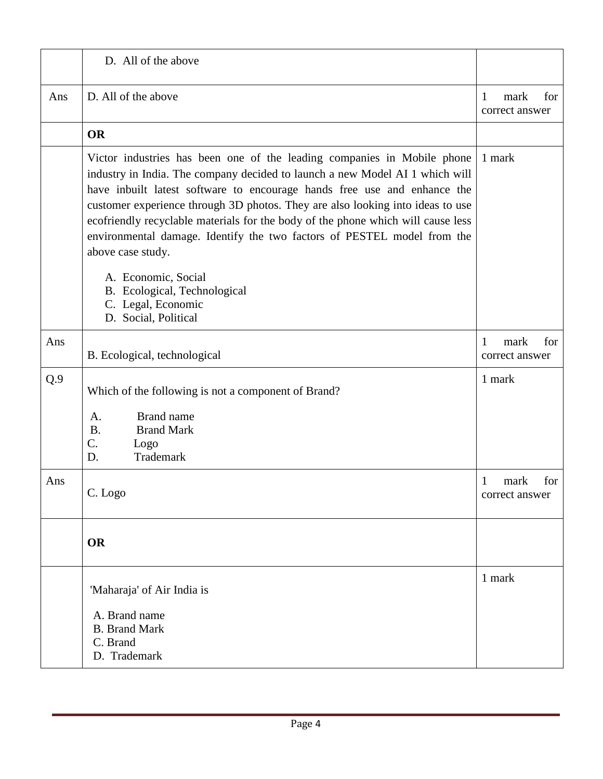|     | D. All of the above                                                                                                                                                                                                                                                                                                                                                                                                                                                                                       |                                               |
|-----|-----------------------------------------------------------------------------------------------------------------------------------------------------------------------------------------------------------------------------------------------------------------------------------------------------------------------------------------------------------------------------------------------------------------------------------------------------------------------------------------------------------|-----------------------------------------------|
| Ans | D. All of the above                                                                                                                                                                                                                                                                                                                                                                                                                                                                                       | $\mathbf{1}$<br>mark<br>for<br>correct answer |
|     | <b>OR</b>                                                                                                                                                                                                                                                                                                                                                                                                                                                                                                 |                                               |
|     | Victor industries has been one of the leading companies in Mobile phone<br>industry in India. The company decided to launch a new Model AI 1 which will<br>have inbuilt latest software to encourage hands free use and enhance the<br>customer experience through 3D photos. They are also looking into ideas to use<br>ecofriendly recyclable materials for the body of the phone which will cause less<br>environmental damage. Identify the two factors of PESTEL model from the<br>above case study. | 1 mark                                        |
|     | A. Economic, Social<br>B. Ecological, Technological<br>C. Legal, Economic<br>D. Social, Political                                                                                                                                                                                                                                                                                                                                                                                                         |                                               |
| Ans | B. Ecological, technological                                                                                                                                                                                                                                                                                                                                                                                                                                                                              | mark<br>for<br>1<br>correct answer            |
| Q.9 | Which of the following is not a component of Brand?                                                                                                                                                                                                                                                                                                                                                                                                                                                       | 1 mark                                        |
|     | <b>Brand name</b><br>A.<br><b>B.</b><br><b>Brand Mark</b><br>C.<br>Logo<br>Trademark<br>D.                                                                                                                                                                                                                                                                                                                                                                                                                |                                               |
| Ans | C. Logo                                                                                                                                                                                                                                                                                                                                                                                                                                                                                                   | for<br>1<br>mark<br>correct answer            |
|     | <b>OR</b>                                                                                                                                                                                                                                                                                                                                                                                                                                                                                                 |                                               |
|     | 'Maharaja' of Air India is                                                                                                                                                                                                                                                                                                                                                                                                                                                                                | 1 mark                                        |
|     | A. Brand name<br><b>B.</b> Brand Mark<br>C. Brand<br>D. Trademark                                                                                                                                                                                                                                                                                                                                                                                                                                         |                                               |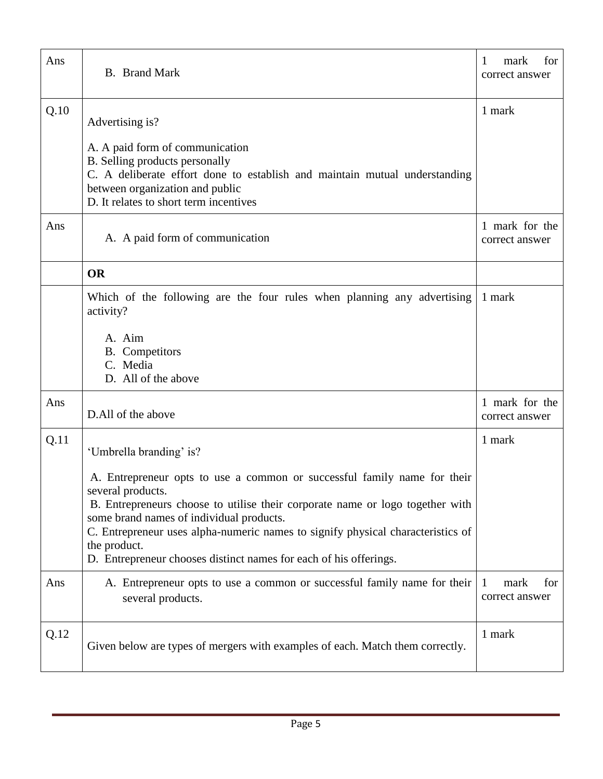| Ans  | <b>B.</b> Brand Mark                                                                                                                                                                                                                                                                                                                                                                               | 1<br>for<br>mark<br>correct answer |
|------|----------------------------------------------------------------------------------------------------------------------------------------------------------------------------------------------------------------------------------------------------------------------------------------------------------------------------------------------------------------------------------------------------|------------------------------------|
| Q.10 | Advertising is?                                                                                                                                                                                                                                                                                                                                                                                    | 1 mark                             |
|      | A. A paid form of communication<br>B. Selling products personally<br>C. A deliberate effort done to establish and maintain mutual understanding<br>between organization and public<br>D. It relates to short term incentives                                                                                                                                                                       |                                    |
| Ans  | A. A paid form of communication                                                                                                                                                                                                                                                                                                                                                                    | 1 mark for the<br>correct answer   |
|      | <b>OR</b>                                                                                                                                                                                                                                                                                                                                                                                          |                                    |
|      | Which of the following are the four rules when planning any advertising<br>activity?                                                                                                                                                                                                                                                                                                               | 1 mark                             |
|      | A. Aim<br><b>B.</b> Competitors<br>C. Media<br>D. All of the above                                                                                                                                                                                                                                                                                                                                 |                                    |
| Ans  | D.All of the above                                                                                                                                                                                                                                                                                                                                                                                 | 1 mark for the<br>correct answer   |
| Q.11 | 'Umbrella branding' is?                                                                                                                                                                                                                                                                                                                                                                            | 1 mark                             |
|      | A. Entrepreneur opts to use a common or successful family name for their<br>several products.<br>B. Entrepreneurs choose to utilise their corporate name or logo together with<br>some brand names of individual products.<br>C. Entrepreneur uses alpha-numeric names to signify physical characteristics of<br>the product.<br>D. Entrepreneur chooses distinct names for each of his offerings. |                                    |
| Ans  | A. Entrepreneur opts to use a common or successful family name for their<br>several products.                                                                                                                                                                                                                                                                                                      | mark<br>for<br>1<br>correct answer |
| Q.12 | Given below are types of mergers with examples of each. Match them correctly.                                                                                                                                                                                                                                                                                                                      | 1 mark                             |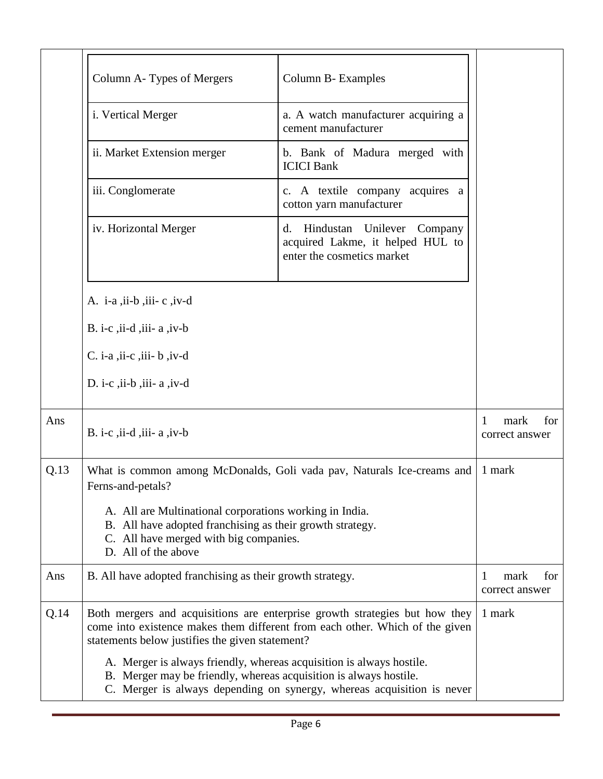|      | Column A-Types of Mergers                                                                                                                                                             | Column B- Examples                                                                                                                                          |                                    |
|------|---------------------------------------------------------------------------------------------------------------------------------------------------------------------------------------|-------------------------------------------------------------------------------------------------------------------------------------------------------------|------------------------------------|
|      | i. Vertical Merger                                                                                                                                                                    | a. A watch manufacturer acquiring a<br>cement manufacturer                                                                                                  |                                    |
|      | ii. Market Extension merger                                                                                                                                                           | b. Bank of Madura merged with<br><b>ICICI Bank</b>                                                                                                          |                                    |
|      | iii. Conglomerate                                                                                                                                                                     | c. A textile company acquires a<br>cotton yarn manufacturer                                                                                                 |                                    |
|      | iv. Horizontal Merger                                                                                                                                                                 | Hindustan Unilever Company<br>d.<br>acquired Lakme, it helped HUL to<br>enter the cosmetics market                                                          |                                    |
|      | A. i-a, ii-b, iii-c, $iv-d$                                                                                                                                                           |                                                                                                                                                             |                                    |
|      | B. i-c, $\overline{ii}$ -d, $\overline{iii}$ - a, $\overline{iv}$ -b                                                                                                                  |                                                                                                                                                             |                                    |
|      | $C.$ i-a , ii-c , iii- b , iv-d                                                                                                                                                       |                                                                                                                                                             |                                    |
|      | D. i-c, ii-b, iii- $a$ , iv-d                                                                                                                                                         |                                                                                                                                                             |                                    |
| Ans  | B. i-c, ii-d, iii- $a$ , iv-b                                                                                                                                                         |                                                                                                                                                             | for<br>1<br>mark<br>correct answer |
| Q.13 | Ferns-and-petals?                                                                                                                                                                     | What is common among McDonalds, Goli vada pav, Naturals Ice-creams and                                                                                      | 1 mark                             |
|      | A. All are Multinational corporations working in India.<br>B. All have adopted franchising as their growth strategy.<br>C. All have merged with big companies.<br>D. All of the above |                                                                                                                                                             |                                    |
| Ans  | B. All have adopted franchising as their growth strategy.                                                                                                                             |                                                                                                                                                             | mark<br>1<br>for<br>correct answer |
| Q.14 | statements below justifies the given statement?                                                                                                                                       | Both mergers and acquisitions are enterprise growth strategies but how they<br>come into existence makes them different from each other. Which of the given | 1 mark                             |
|      | A. Merger is always friendly, whereas acquisition is always hostile.<br>B. Merger may be friendly, whereas acquisition is always hostile.                                             | C. Merger is always depending on synergy, whereas acquisition is never                                                                                      |                                    |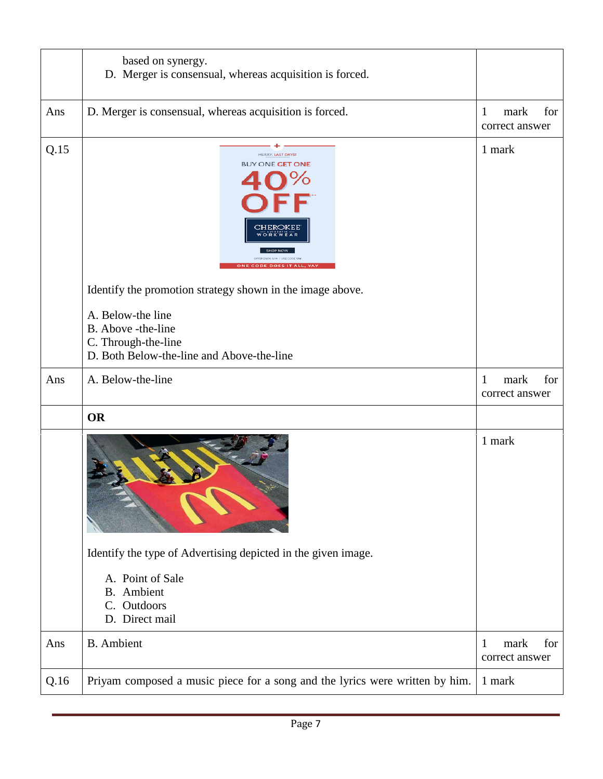|      | based on synergy.<br>D. Merger is consensual, whereas acquisition is forced.                                |                                    |
|------|-------------------------------------------------------------------------------------------------------------|------------------------------------|
| Ans  | D. Merger is consensual, whereas acquisition is forced.                                                     | for<br>mark<br>1<br>correct answer |
| Q.15 | <b>HURRY, LAST DAYS</b><br><b>BUY ONE GET ONE</b><br>CHEROKEE                                               | 1 mark                             |
|      | Identify the promotion strategy shown in the image above.                                                   |                                    |
|      | A. Below-the line<br>B. Above -the-line<br>C. Through-the-line<br>D. Both Below-the-line and Above-the-line |                                    |
| Ans  | A. Below-the-line                                                                                           | for<br>mark<br>1<br>correct answer |
|      | <b>OR</b>                                                                                                   |                                    |
|      |                                                                                                             | 1 mark                             |
|      | Identify the type of Advertising depicted in the given image.                                               |                                    |
|      | A. Point of Sale<br><b>B.</b> Ambient<br>Outdoors<br>$\mathcal{C}$ .<br>D. Direct mail                      |                                    |
| Ans  | <b>B.</b> Ambient                                                                                           | for<br>mark<br>1<br>correct answer |
|      |                                                                                                             |                                    |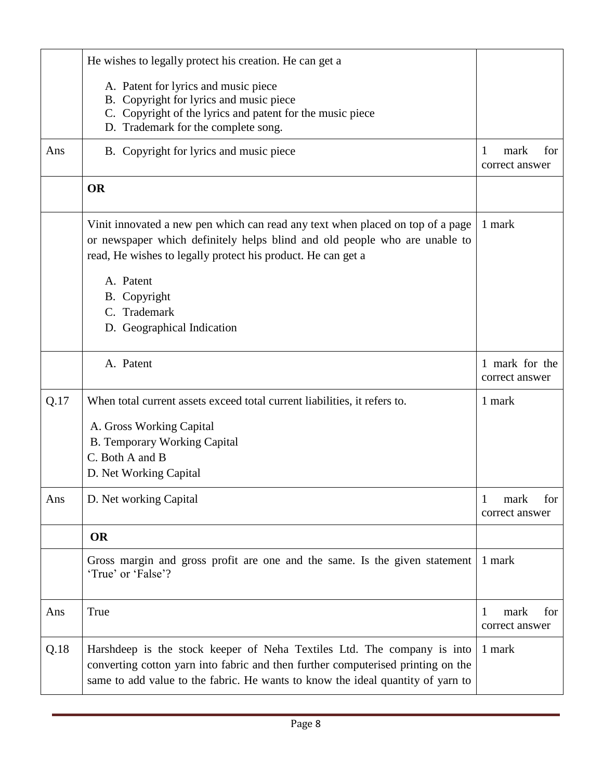|      | He wishes to legally protect his creation. He can get a                                                                                                                                                                                        |                                    |
|------|------------------------------------------------------------------------------------------------------------------------------------------------------------------------------------------------------------------------------------------------|------------------------------------|
|      | A. Patent for lyrics and music piece<br>B. Copyright for lyrics and music piece<br>C. Copyright of the lyrics and patent for the music piece<br>D. Trademark for the complete song.                                                            |                                    |
| Ans  | B. Copyright for lyrics and music piece                                                                                                                                                                                                        | mark<br>for<br>1<br>correct answer |
|      | <b>OR</b>                                                                                                                                                                                                                                      |                                    |
|      | Vinit innovated a new pen which can read any text when placed on top of a page<br>or newspaper which definitely helps blind and old people who are unable to<br>read, He wishes to legally protect his product. He can get a                   | 1 mark                             |
|      | A. Patent<br>B. Copyright<br>C. Trademark<br>D. Geographical Indication                                                                                                                                                                        |                                    |
|      | A. Patent                                                                                                                                                                                                                                      | 1 mark for the<br>correct answer   |
| Q.17 | When total current assets exceed total current liabilities, it refers to.<br>A. Gross Working Capital<br><b>B.</b> Temporary Working Capital<br>C. Both A and B<br>D. Net Working Capital                                                      | 1 mark                             |
| Ans  | D. Net working Capital                                                                                                                                                                                                                         | for<br>1<br>mark<br>correct answer |
|      | <b>OR</b>                                                                                                                                                                                                                                      |                                    |
|      | Gross margin and gross profit are one and the same. Is the given statement<br>'True' or 'False'?                                                                                                                                               | 1 mark                             |
| Ans  | True                                                                                                                                                                                                                                           | 1<br>mark<br>for<br>correct answer |
| Q.18 | Harshdeep is the stock keeper of Neha Textiles Ltd. The company is into<br>converting cotton yarn into fabric and then further computerised printing on the<br>same to add value to the fabric. He wants to know the ideal quantity of yarn to | 1 mark                             |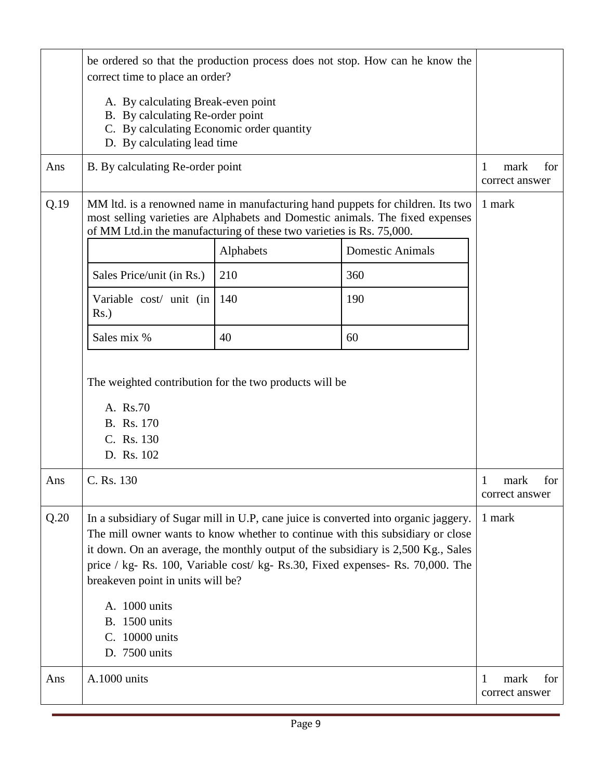|      | be ordered so that the production process does not stop. How can he know the<br>correct time to place an order?                                                                                                                                                                                                                                                                                                                                              |           |                                                                                                                                                                 |                                    |  |
|------|--------------------------------------------------------------------------------------------------------------------------------------------------------------------------------------------------------------------------------------------------------------------------------------------------------------------------------------------------------------------------------------------------------------------------------------------------------------|-----------|-----------------------------------------------------------------------------------------------------------------------------------------------------------------|------------------------------------|--|
|      | A. By calculating Break-even point<br>B. By calculating Re-order point<br>C. By calculating Economic order quantity<br>D. By calculating lead time                                                                                                                                                                                                                                                                                                           |           |                                                                                                                                                                 |                                    |  |
| Ans  | B. By calculating Re-order point                                                                                                                                                                                                                                                                                                                                                                                                                             |           |                                                                                                                                                                 | mark<br>1<br>for<br>correct answer |  |
| Q.19 | of MM Ltd.in the manufacturing of these two varieties is Rs. 75,000.                                                                                                                                                                                                                                                                                                                                                                                         |           | MM ltd. is a renowned name in manufacturing hand puppets for children. Its two<br>most selling varieties are Alphabets and Domestic animals. The fixed expenses | 1 mark                             |  |
|      |                                                                                                                                                                                                                                                                                                                                                                                                                                                              | Alphabets | <b>Domestic Animals</b>                                                                                                                                         |                                    |  |
|      | Sales Price/unit (in Rs.)                                                                                                                                                                                                                                                                                                                                                                                                                                    | 210       | 360                                                                                                                                                             |                                    |  |
|      | Variable cost/ unit (in<br>$Rs.$ )                                                                                                                                                                                                                                                                                                                                                                                                                           | 140       | 190                                                                                                                                                             |                                    |  |
|      | Sales mix %                                                                                                                                                                                                                                                                                                                                                                                                                                                  | 40        | 60                                                                                                                                                              |                                    |  |
|      | The weighted contribution for the two products will be<br>A. Rs.70<br>B. Rs. 170<br>C. Rs. 130<br>D. Rs. 102                                                                                                                                                                                                                                                                                                                                                 |           |                                                                                                                                                                 |                                    |  |
| Ans  | C. Rs. 130                                                                                                                                                                                                                                                                                                                                                                                                                                                   |           |                                                                                                                                                                 | for<br>1<br>mark<br>correct answer |  |
| Q.20 | In a subsidiary of Sugar mill in U.P, cane juice is converted into organic jaggery.<br>The mill owner wants to know whether to continue with this subsidiary or close<br>it down. On an average, the monthly output of the subsidiary is 2,500 Kg., Sales<br>price / kg- Rs. 100, Variable cost/ kg- Rs.30, Fixed expenses- Rs. 70,000. The<br>breakeven point in units will be?<br>A. 1000 units<br><b>B.</b> 1500 units<br>C. 10000 units<br>D. 7500 units |           | 1 mark                                                                                                                                                          |                                    |  |
| Ans  | A.1000 units                                                                                                                                                                                                                                                                                                                                                                                                                                                 |           |                                                                                                                                                                 | for<br>mark<br>1<br>correct answer |  |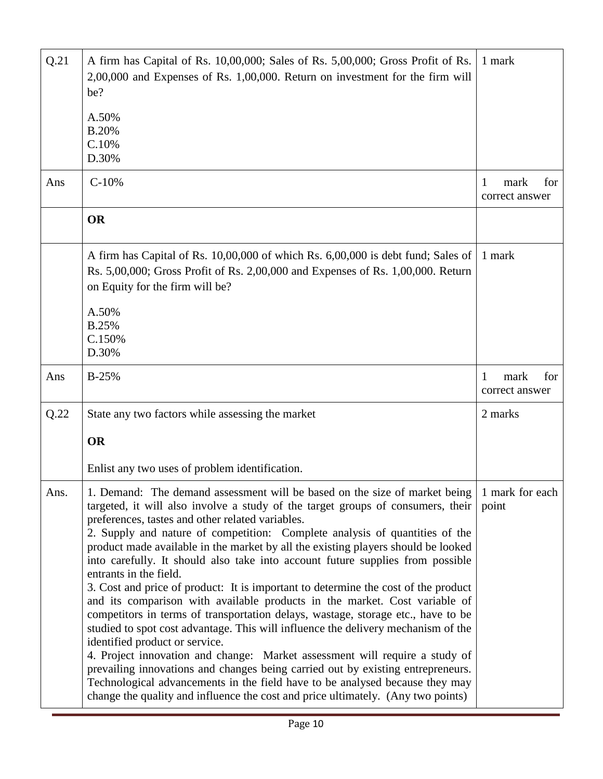| Q.21 | A firm has Capital of Rs. 10,00,000; Sales of Rs. 5,00,000; Gross Profit of Rs.<br>2,00,000 and Expenses of Rs. 1,00,000. Return on investment for the firm will<br>be?<br>A.50%<br><b>B.20%</b><br>C.10%<br>D.30%                                                                                                                                                                                                                                                                                                                                                                                                                                                                                                                                                                                                                                                                                                                                                                                                                                                                                                                                                                                                     | 1 mark                             |
|------|------------------------------------------------------------------------------------------------------------------------------------------------------------------------------------------------------------------------------------------------------------------------------------------------------------------------------------------------------------------------------------------------------------------------------------------------------------------------------------------------------------------------------------------------------------------------------------------------------------------------------------------------------------------------------------------------------------------------------------------------------------------------------------------------------------------------------------------------------------------------------------------------------------------------------------------------------------------------------------------------------------------------------------------------------------------------------------------------------------------------------------------------------------------------------------------------------------------------|------------------------------------|
| Ans  | $C-10%$                                                                                                                                                                                                                                                                                                                                                                                                                                                                                                                                                                                                                                                                                                                                                                                                                                                                                                                                                                                                                                                                                                                                                                                                                | 1<br>mark<br>for<br>correct answer |
|      | <b>OR</b>                                                                                                                                                                                                                                                                                                                                                                                                                                                                                                                                                                                                                                                                                                                                                                                                                                                                                                                                                                                                                                                                                                                                                                                                              |                                    |
|      | A firm has Capital of Rs. 10,00,000 of which Rs. 6,00,000 is debt fund; Sales of<br>Rs. 5,00,000; Gross Profit of Rs. 2,00,000 and Expenses of Rs. 1,00,000. Return<br>on Equity for the firm will be?<br>A.50%                                                                                                                                                                                                                                                                                                                                                                                                                                                                                                                                                                                                                                                                                                                                                                                                                                                                                                                                                                                                        | 1 mark                             |
|      | <b>B.25%</b><br>C.150%<br>D.30%                                                                                                                                                                                                                                                                                                                                                                                                                                                                                                                                                                                                                                                                                                                                                                                                                                                                                                                                                                                                                                                                                                                                                                                        |                                    |
| Ans  | $B-25%$                                                                                                                                                                                                                                                                                                                                                                                                                                                                                                                                                                                                                                                                                                                                                                                                                                                                                                                                                                                                                                                                                                                                                                                                                | mark<br>for<br>1<br>correct answer |
| Q.22 | State any two factors while assessing the market                                                                                                                                                                                                                                                                                                                                                                                                                                                                                                                                                                                                                                                                                                                                                                                                                                                                                                                                                                                                                                                                                                                                                                       | 2 marks                            |
|      | <b>OR</b>                                                                                                                                                                                                                                                                                                                                                                                                                                                                                                                                                                                                                                                                                                                                                                                                                                                                                                                                                                                                                                                                                                                                                                                                              |                                    |
|      | Enlist any two uses of problem identification.                                                                                                                                                                                                                                                                                                                                                                                                                                                                                                                                                                                                                                                                                                                                                                                                                                                                                                                                                                                                                                                                                                                                                                         |                                    |
| Ans. | 1. Demand: The demand assessment will be based on the size of market being<br>targeted, it will also involve a study of the target groups of consumers, their<br>preferences, tastes and other related variables.<br>2. Supply and nature of competition: Complete analysis of quantities of the<br>product made available in the market by all the existing players should be looked<br>into carefully. It should also take into account future supplies from possible<br>entrants in the field.<br>3. Cost and price of product: It is important to determine the cost of the product<br>and its comparison with available products in the market. Cost variable of<br>competitors in terms of transportation delays, wastage, storage etc., have to be<br>studied to spot cost advantage. This will influence the delivery mechanism of the<br>identified product or service.<br>4. Project innovation and change: Market assessment will require a study of<br>prevailing innovations and changes being carried out by existing entrepreneurs.<br>Technological advancements in the field have to be analysed because they may<br>change the quality and influence the cost and price ultimately. (Any two points) | 1 mark for each<br>point           |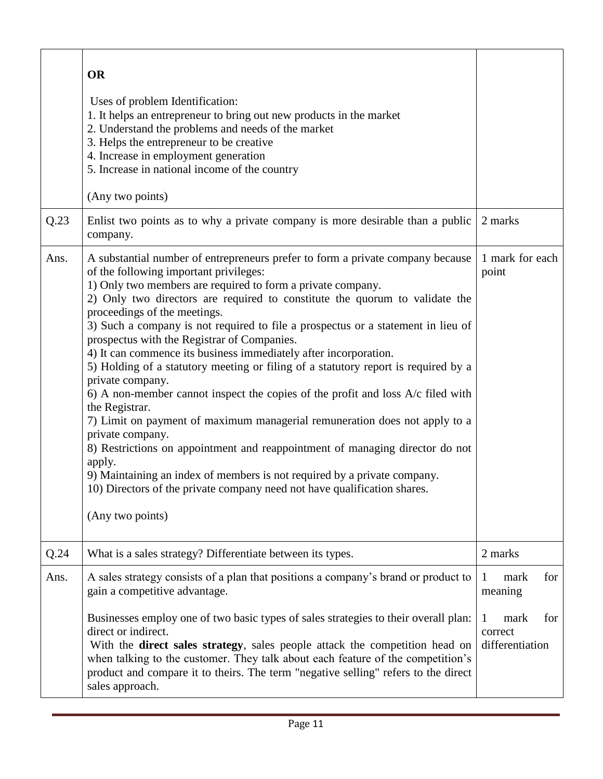|      | <b>OR</b><br>Uses of problem Identification:<br>1. It helps an entrepreneur to bring out new products in the market<br>2. Understand the problems and needs of the market<br>3. Helps the entrepreneur to be creative<br>4. Increase in employment generation<br>5. Increase in national income of the country<br>(Any two points)                                                                                                                                                                                                                                                                                                                                                                                                                                                                                                                                                                                                                                                                                                                                                                     |                                                  |
|------|--------------------------------------------------------------------------------------------------------------------------------------------------------------------------------------------------------------------------------------------------------------------------------------------------------------------------------------------------------------------------------------------------------------------------------------------------------------------------------------------------------------------------------------------------------------------------------------------------------------------------------------------------------------------------------------------------------------------------------------------------------------------------------------------------------------------------------------------------------------------------------------------------------------------------------------------------------------------------------------------------------------------------------------------------------------------------------------------------------|--------------------------------------------------|
| Q.23 | Enlist two points as to why a private company is more desirable than a public<br>company.                                                                                                                                                                                                                                                                                                                                                                                                                                                                                                                                                                                                                                                                                                                                                                                                                                                                                                                                                                                                              | 2 marks                                          |
| Ans. | A substantial number of entrepreneurs prefer to form a private company because<br>of the following important privileges:<br>1) Only two members are required to form a private company.<br>2) Only two directors are required to constitute the quorum to validate the<br>proceedings of the meetings.<br>3) Such a company is not required to file a prospectus or a statement in lieu of<br>prospectus with the Registrar of Companies.<br>4) It can commence its business immediately after incorporation.<br>5) Holding of a statutory meeting or filing of a statutory report is required by a<br>private company.<br>6) A non-member cannot inspect the copies of the profit and loss $A/c$ filed with<br>the Registrar.<br>7) Limit on payment of maximum managerial remuneration does not apply to a<br>private company.<br>8) Restrictions on appointment and reappointment of managing director do not<br>apply.<br>9) Maintaining an index of members is not required by a private company.<br>10) Directors of the private company need not have qualification shares.<br>(Any two points) | 1 mark for each<br>point                         |
| Q.24 | What is a sales strategy? Differentiate between its types.                                                                                                                                                                                                                                                                                                                                                                                                                                                                                                                                                                                                                                                                                                                                                                                                                                                                                                                                                                                                                                             | 2 marks                                          |
| Ans. | A sales strategy consists of a plan that positions a company's brand or product to<br>gain a competitive advantage.<br>Businesses employ one of two basic types of sales strategies to their overall plan:                                                                                                                                                                                                                                                                                                                                                                                                                                                                                                                                                                                                                                                                                                                                                                                                                                                                                             | mark<br>for<br>-1<br>meaning<br>mark<br>for<br>1 |
|      | direct or indirect.<br>With the direct sales strategy, sales people attack the competition head on<br>when talking to the customer. They talk about each feature of the competition's<br>product and compare it to theirs. The term "negative selling" refers to the direct<br>sales approach.                                                                                                                                                                                                                                                                                                                                                                                                                                                                                                                                                                                                                                                                                                                                                                                                         | correct<br>differentiation                       |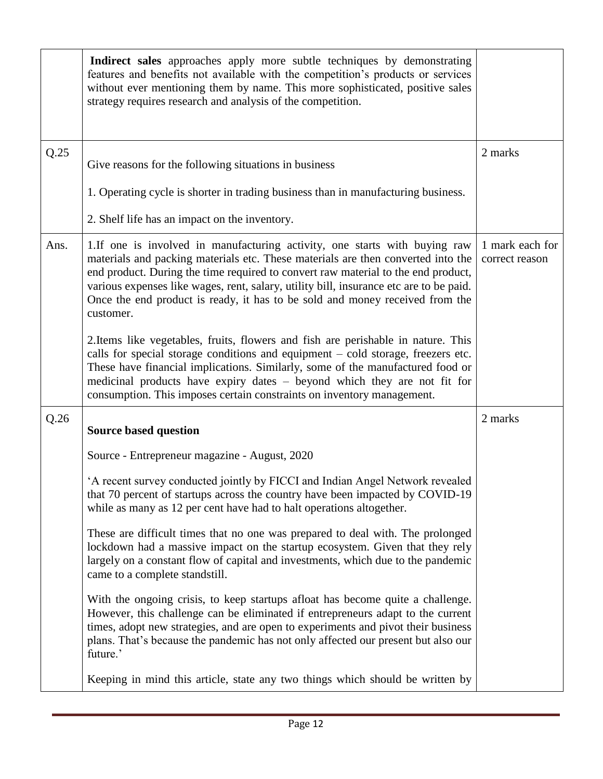|      | Indirect sales approaches apply more subtle techniques by demonstrating<br>features and benefits not available with the competition's products or services<br>without ever mentioning them by name. This more sophisticated, positive sales<br>strategy requires research and analysis of the competition.                                                                                                                                  |                                   |
|------|---------------------------------------------------------------------------------------------------------------------------------------------------------------------------------------------------------------------------------------------------------------------------------------------------------------------------------------------------------------------------------------------------------------------------------------------|-----------------------------------|
| Q.25 | Give reasons for the following situations in business                                                                                                                                                                                                                                                                                                                                                                                       | 2 marks                           |
|      | 1. Operating cycle is shorter in trading business than in manufacturing business.                                                                                                                                                                                                                                                                                                                                                           |                                   |
|      | 2. Shelf life has an impact on the inventory.                                                                                                                                                                                                                                                                                                                                                                                               |                                   |
| Ans. | 1. If one is involved in manufacturing activity, one starts with buying raw<br>materials and packing materials etc. These materials are then converted into the<br>end product. During the time required to convert raw material to the end product,<br>various expenses like wages, rent, salary, utility bill, insurance etc are to be paid.<br>Once the end product is ready, it has to be sold and money received from the<br>customer. | 1 mark each for<br>correct reason |
|      | 2. Items like vegetables, fruits, flowers and fish are perishable in nature. This<br>calls for special storage conditions and equipment - cold storage, freezers etc.<br>These have financial implications. Similarly, some of the manufactured food or<br>medicinal products have expiry dates - beyond which they are not fit for<br>consumption. This imposes certain constraints on inventory management.                               |                                   |
| Q.26 | <b>Source based question</b>                                                                                                                                                                                                                                                                                                                                                                                                                | 2 marks                           |
|      | Source - Entrepreneur magazine - August, 2020                                                                                                                                                                                                                                                                                                                                                                                               |                                   |
|      | 'A recent survey conducted jointly by FICCI and Indian Angel Network revealed<br>that 70 percent of startups across the country have been impacted by COVID-19<br>while as many as 12 per cent have had to halt operations altogether.                                                                                                                                                                                                      |                                   |
|      | These are difficult times that no one was prepared to deal with. The prolonged<br>lockdown had a massive impact on the startup ecosystem. Given that they rely<br>largely on a constant flow of capital and investments, which due to the pandemic<br>came to a complete standstill.                                                                                                                                                        |                                   |
|      | With the ongoing crisis, to keep startups afloat has become quite a challenge.<br>However, this challenge can be eliminated if entrepreneurs adapt to the current<br>times, adopt new strategies, and are open to experiments and pivot their business<br>plans. That's because the pandemic has not only affected our present but also our<br>future.'                                                                                     |                                   |
|      | Keeping in mind this article, state any two things which should be written by                                                                                                                                                                                                                                                                                                                                                               |                                   |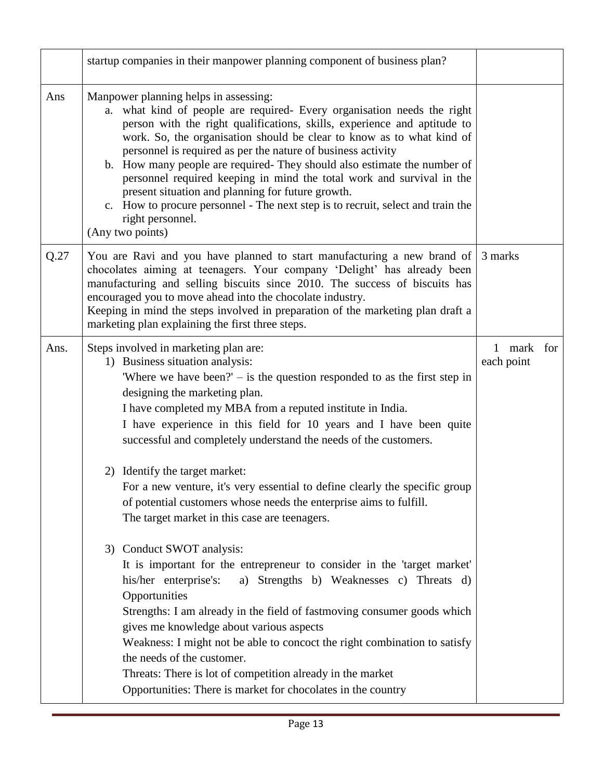|      | startup companies in their manpower planning component of business plan?                                                                                                                                                                                                                                                                                                                                                                                                                                                                                                                                                                                                   |                          |  |
|------|----------------------------------------------------------------------------------------------------------------------------------------------------------------------------------------------------------------------------------------------------------------------------------------------------------------------------------------------------------------------------------------------------------------------------------------------------------------------------------------------------------------------------------------------------------------------------------------------------------------------------------------------------------------------------|--------------------------|--|
| Ans  | Manpower planning helps in assessing:<br>a. what kind of people are required- Every organisation needs the right<br>person with the right qualifications, skills, experience and aptitude to<br>work. So, the organisation should be clear to know as to what kind of<br>personnel is required as per the nature of business activity<br>b. How many people are required- They should also estimate the number of<br>personnel required keeping in mind the total work and survival in the<br>present situation and planning for future growth.<br>c. How to procure personnel - The next step is to recruit, select and train the<br>right personnel.<br>(Any two points) |                          |  |
| Q.27 | You are Ravi and you have planned to start manufacturing a new brand of<br>chocolates aiming at teenagers. Your company 'Delight' has already been<br>manufacturing and selling biscuits since 2010. The success of biscuits has<br>encouraged you to move ahead into the chocolate industry.<br>Keeping in mind the steps involved in preparation of the marketing plan draft a<br>marketing plan explaining the first three steps.                                                                                                                                                                                                                                       | 3 marks                  |  |
| Ans. | Steps involved in marketing plan are:<br>1) Business situation analysis:<br>Where we have been?' $-$ is the question responded to as the first step in<br>designing the marketing plan.<br>I have completed my MBA from a reputed institute in India.<br>I have experience in this field for 10 years and I have been quite<br>successful and completely understand the needs of the customers.                                                                                                                                                                                                                                                                            | 1 mark for<br>each point |  |
|      | 2) Identify the target market:<br>For a new venture, it's very essential to define clearly the specific group<br>of potential customers whose needs the enterprise aims to fulfill.<br>The target market in this case are teenagers.                                                                                                                                                                                                                                                                                                                                                                                                                                       |                          |  |
|      | 3) Conduct SWOT analysis:<br>It is important for the entrepreneur to consider in the 'target market'<br>his/her enterprise's:<br>a) Strengths b) Weaknesses c) Threats d)<br>Opportunities<br>Strengths: I am already in the field of fastmoving consumer goods which<br>gives me knowledge about various aspects<br>Weakness: I might not be able to concoct the right combination to satisfy<br>the needs of the customer.<br>Threats: There is lot of competition already in the market<br>Opportunities: There is market for chocolates in the country                                                                                                                 |                          |  |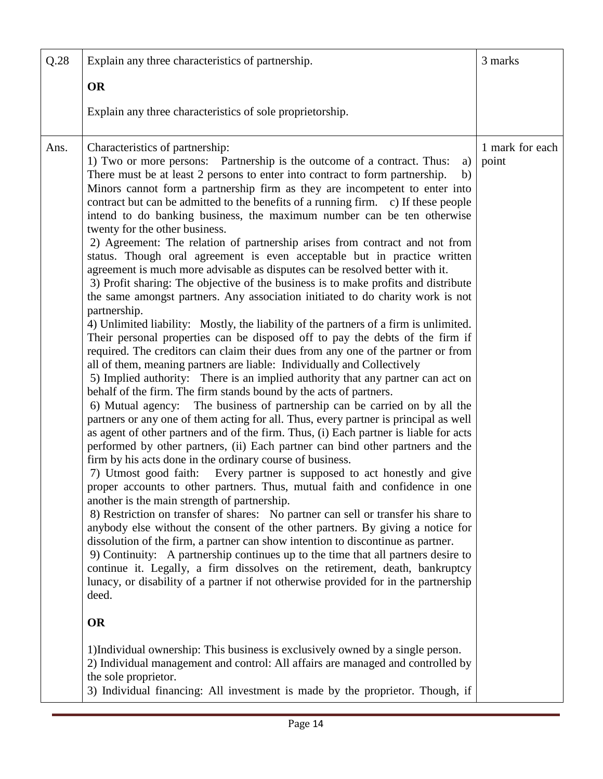| Q.28 | Explain any three characteristics of partnership.                                                                                                                                                                                                                                                                                                                                                                                                                                                                                                                                                                                                                                                                                                                                                                                                                                                                                                                                                                                                                                                                                                                                                                                                                                                                                                                                                                                                                                                                                                                                                                                                                                                                                                                                                                                                                                                                                                                                                                                                                                                                                                                                                                                                                                                                                                                                                                                                                                                                                                                                                                                                                                                                                                                                                   | 3 marks                  |
|------|-----------------------------------------------------------------------------------------------------------------------------------------------------------------------------------------------------------------------------------------------------------------------------------------------------------------------------------------------------------------------------------------------------------------------------------------------------------------------------------------------------------------------------------------------------------------------------------------------------------------------------------------------------------------------------------------------------------------------------------------------------------------------------------------------------------------------------------------------------------------------------------------------------------------------------------------------------------------------------------------------------------------------------------------------------------------------------------------------------------------------------------------------------------------------------------------------------------------------------------------------------------------------------------------------------------------------------------------------------------------------------------------------------------------------------------------------------------------------------------------------------------------------------------------------------------------------------------------------------------------------------------------------------------------------------------------------------------------------------------------------------------------------------------------------------------------------------------------------------------------------------------------------------------------------------------------------------------------------------------------------------------------------------------------------------------------------------------------------------------------------------------------------------------------------------------------------------------------------------------------------------------------------------------------------------------------------------------------------------------------------------------------------------------------------------------------------------------------------------------------------------------------------------------------------------------------------------------------------------------------------------------------------------------------------------------------------------------------------------------------------------------------------------------------------------|--------------------------|
|      | <b>OR</b>                                                                                                                                                                                                                                                                                                                                                                                                                                                                                                                                                                                                                                                                                                                                                                                                                                                                                                                                                                                                                                                                                                                                                                                                                                                                                                                                                                                                                                                                                                                                                                                                                                                                                                                                                                                                                                                                                                                                                                                                                                                                                                                                                                                                                                                                                                                                                                                                                                                                                                                                                                                                                                                                                                                                                                                           |                          |
|      | Explain any three characteristics of sole proprietorship.                                                                                                                                                                                                                                                                                                                                                                                                                                                                                                                                                                                                                                                                                                                                                                                                                                                                                                                                                                                                                                                                                                                                                                                                                                                                                                                                                                                                                                                                                                                                                                                                                                                                                                                                                                                                                                                                                                                                                                                                                                                                                                                                                                                                                                                                                                                                                                                                                                                                                                                                                                                                                                                                                                                                           |                          |
| Ans. | Characteristics of partnership:<br>1) Two or more persons: Partnership is the outcome of a contract. Thus:<br>a)<br>There must be at least 2 persons to enter into contract to form partnership.<br>b)<br>Minors cannot form a partnership firm as they are incompetent to enter into<br>contract but can be admitted to the benefits of a running firm. c) If these people<br>intend to do banking business, the maximum number can be ten otherwise<br>twenty for the other business.<br>2) Agreement: The relation of partnership arises from contract and not from<br>status. Though oral agreement is even acceptable but in practice written<br>agreement is much more advisable as disputes can be resolved better with it.<br>3) Profit sharing: The objective of the business is to make profits and distribute<br>the same amongst partners. Any association initiated to do charity work is not<br>partnership.<br>4) Unlimited liability: Mostly, the liability of the partners of a firm is unlimited.<br>Their personal properties can be disposed off to pay the debts of the firm if<br>required. The creditors can claim their dues from any one of the partner or from<br>all of them, meaning partners are liable: Individually and Collectively<br>5) Implied authority: There is an implied authority that any partner can act on<br>behalf of the firm. The firm stands bound by the acts of partners.<br>6) Mutual agency: The business of partnership can be carried on by all the<br>partners or any one of them acting for all. Thus, every partner is principal as well<br>as agent of other partners and of the firm. Thus, (i) Each partner is liable for acts<br>performed by other partners, (ii) Each partner can bind other partners and the<br>firm by his acts done in the ordinary course of business.<br>7) Utmost good faith:<br>Every partner is supposed to act honestly and give<br>proper accounts to other partners. Thus, mutual faith and confidence in one<br>another is the main strength of partnership.<br>8) Restriction on transfer of shares: No partner can sell or transfer his share to<br>anybody else without the consent of the other partners. By giving a notice for<br>dissolution of the firm, a partner can show intention to discontinue as partner.<br>9) Continuity: A partnership continues up to the time that all partners desire to<br>continue it. Legally, a firm dissolves on the retirement, death, bankruptcy<br>lunacy, or disability of a partner if not otherwise provided for in the partnership<br>deed.<br><b>OR</b><br>1) Individual ownership: This business is exclusively owned by a single person.<br>2) Individual management and control: All affairs are managed and controlled by<br>the sole proprietor. | 1 mark for each<br>point |
|      | 3) Individual financing: All investment is made by the proprietor. Though, if                                                                                                                                                                                                                                                                                                                                                                                                                                                                                                                                                                                                                                                                                                                                                                                                                                                                                                                                                                                                                                                                                                                                                                                                                                                                                                                                                                                                                                                                                                                                                                                                                                                                                                                                                                                                                                                                                                                                                                                                                                                                                                                                                                                                                                                                                                                                                                                                                                                                                                                                                                                                                                                                                                                       |                          |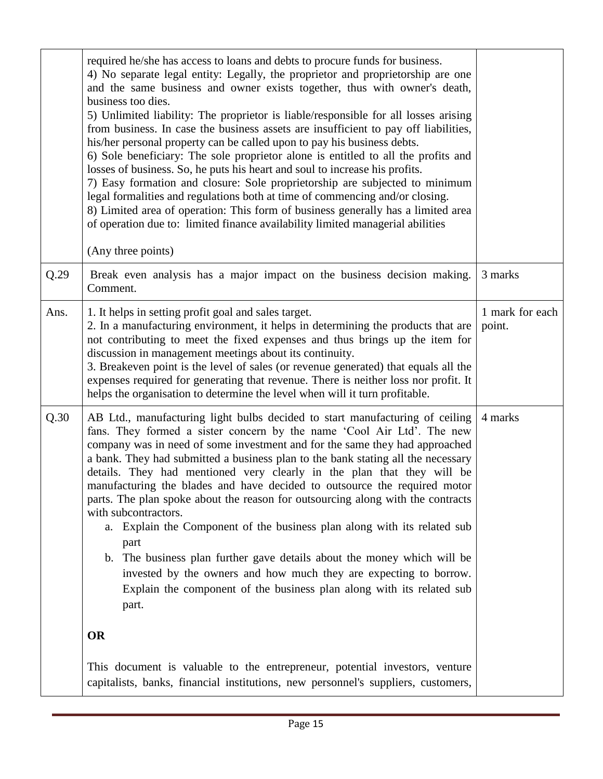|      | required he/she has access to loans and debts to procure funds for business.<br>4) No separate legal entity: Legally, the proprietor and proprietorship are one<br>and the same business and owner exists together, thus with owner's death,<br>business too dies.<br>5) Unlimited liability: The proprietor is liable/responsible for all losses arising<br>from business. In case the business assets are insufficient to pay off liabilities,<br>his/her personal property can be called upon to pay his business debts.<br>6) Sole beneficiary: The sole proprietor alone is entitled to all the profits and<br>losses of business. So, he puts his heart and soul to increase his profits.<br>7) Easy formation and closure: Sole proprietorship are subjected to minimum<br>legal formalities and regulations both at time of commencing and/or closing.<br>8) Limited area of operation: This form of business generally has a limited area<br>of operation due to: limited finance availability limited managerial abilities<br>(Any three points) |                           |
|------|------------------------------------------------------------------------------------------------------------------------------------------------------------------------------------------------------------------------------------------------------------------------------------------------------------------------------------------------------------------------------------------------------------------------------------------------------------------------------------------------------------------------------------------------------------------------------------------------------------------------------------------------------------------------------------------------------------------------------------------------------------------------------------------------------------------------------------------------------------------------------------------------------------------------------------------------------------------------------------------------------------------------------------------------------------|---------------------------|
| Q.29 | Break even analysis has a major impact on the business decision making.<br>Comment.                                                                                                                                                                                                                                                                                                                                                                                                                                                                                                                                                                                                                                                                                                                                                                                                                                                                                                                                                                        | 3 marks                   |
| Ans. | 1. It helps in setting profit goal and sales target.<br>2. In a manufacturing environment, it helps in determining the products that are<br>not contributing to meet the fixed expenses and thus brings up the item for<br>discussion in management meetings about its continuity.<br>3. Breakeven point is the level of sales (or revenue generated) that equals all the<br>expenses required for generating that revenue. There is neither loss nor profit. It<br>helps the organisation to determine the level when will it turn profitable.                                                                                                                                                                                                                                                                                                                                                                                                                                                                                                            | 1 mark for each<br>point. |
| Q.30 | AB Ltd., manufacturing light bulbs decided to start manufacturing of ceiling<br>fans. They formed a sister concern by the name 'Cool Air Ltd'. The new<br>company was in need of some investment and for the same they had approached<br>a bank. They had submitted a business plan to the bank stating all the necessary<br>details. They had mentioned very clearly in the plan that they will be<br>manufacturing the blades and have decided to outsource the required motor<br>parts. The plan spoke about the reason for outsourcing along with the contracts<br>with subcontractors.<br>a. Explain the Component of the business plan along with its related sub<br>part<br>b. The business plan further gave details about the money which will be<br>invested by the owners and how much they are expecting to borrow.<br>Explain the component of the business plan along with its related sub<br>part.                                                                                                                                          | 4 marks                   |
|      | <b>OR</b>                                                                                                                                                                                                                                                                                                                                                                                                                                                                                                                                                                                                                                                                                                                                                                                                                                                                                                                                                                                                                                                  |                           |
|      | This document is valuable to the entrepreneur, potential investors, venture<br>capitalists, banks, financial institutions, new personnel's suppliers, customers,                                                                                                                                                                                                                                                                                                                                                                                                                                                                                                                                                                                                                                                                                                                                                                                                                                                                                           |                           |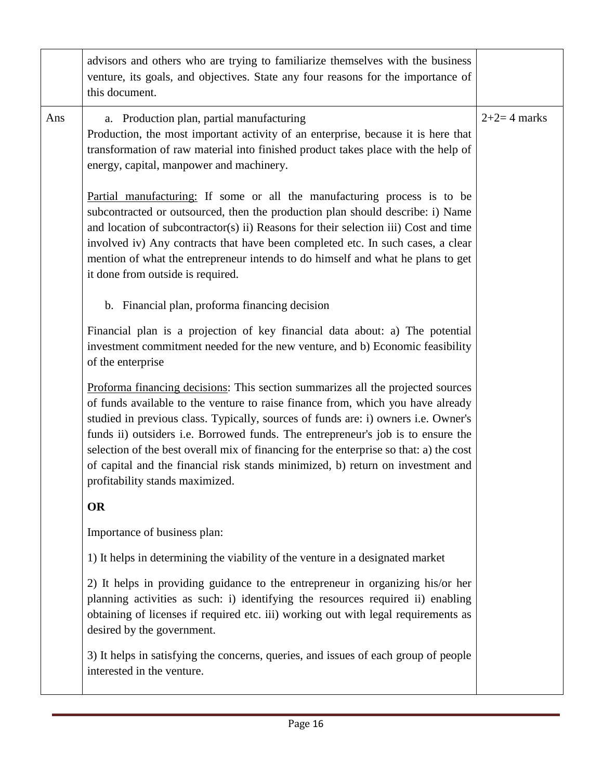|     | advisors and others who are trying to familiarize themselves with the business<br>venture, its goals, and objectives. State any four reasons for the importance of<br>this document.                                                                                                                                                                                                                                                                                                                                                                         |               |
|-----|--------------------------------------------------------------------------------------------------------------------------------------------------------------------------------------------------------------------------------------------------------------------------------------------------------------------------------------------------------------------------------------------------------------------------------------------------------------------------------------------------------------------------------------------------------------|---------------|
| Ans | a. Production plan, partial manufacturing<br>Production, the most important activity of an enterprise, because it is here that<br>transformation of raw material into finished product takes place with the help of<br>energy, capital, manpower and machinery.                                                                                                                                                                                                                                                                                              | $2+2=4$ marks |
|     | Partial manufacturing: If some or all the manufacturing process is to be<br>subcontracted or outsourced, then the production plan should describe: i) Name<br>and location of subcontractor(s) ii) Reasons for their selection iii) Cost and time<br>involved iv) Any contracts that have been completed etc. In such cases, a clear<br>mention of what the entrepreneur intends to do himself and what he plans to get<br>it done from outside is required.                                                                                                 |               |
|     | b. Financial plan, proforma financing decision                                                                                                                                                                                                                                                                                                                                                                                                                                                                                                               |               |
|     | Financial plan is a projection of key financial data about: a) The potential<br>investment commitment needed for the new venture, and b) Economic feasibility<br>of the enterprise                                                                                                                                                                                                                                                                                                                                                                           |               |
|     | Proforma financing decisions: This section summarizes all the projected sources<br>of funds available to the venture to raise finance from, which you have already<br>studied in previous class. Typically, sources of funds are: i) owners i.e. Owner's<br>funds ii) outsiders i.e. Borrowed funds. The entrepreneur's job is to ensure the<br>selection of the best overall mix of financing for the enterprise so that: a) the cost<br>of capital and the financial risk stands minimized, b) return on investment and<br>profitability stands maximized. |               |
|     | <b>OR</b>                                                                                                                                                                                                                                                                                                                                                                                                                                                                                                                                                    |               |
|     | Importance of business plan:                                                                                                                                                                                                                                                                                                                                                                                                                                                                                                                                 |               |
|     | 1) It helps in determining the viability of the venture in a designated market                                                                                                                                                                                                                                                                                                                                                                                                                                                                               |               |
|     | 2) It helps in providing guidance to the entrepreneur in organizing his/or her<br>planning activities as such: i) identifying the resources required ii) enabling<br>obtaining of licenses if required etc. iii) working out with legal requirements as<br>desired by the government.                                                                                                                                                                                                                                                                        |               |
|     | 3) It helps in satisfying the concerns, queries, and issues of each group of people<br>interested in the venture.                                                                                                                                                                                                                                                                                                                                                                                                                                            |               |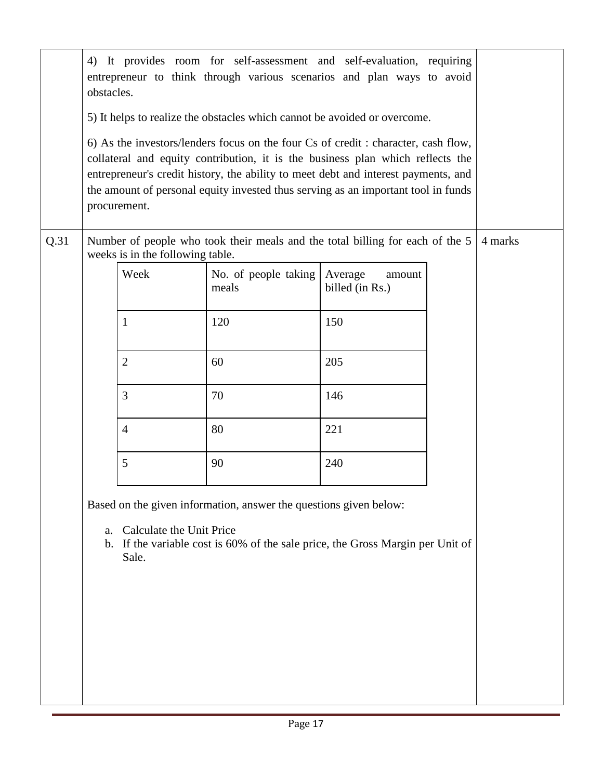|      | obstacles. | procurement.                      | 4) It provides room for self-assessment and self-evaluation, requiring<br>entrepreneur to think through various scenarios and plan ways to avoid<br>5) It helps to realize the obstacles which cannot be avoided or overcome.<br>6) As the investors/lenders focus on the four Cs of credit : character, cash flow,<br>collateral and equity contribution, it is the business plan which reflects the<br>entrepreneur's credit history, the ability to meet debt and interest payments, and<br>the amount of personal equity invested thus serving as an important tool in funds |                                      |         |
|------|------------|-----------------------------------|----------------------------------------------------------------------------------------------------------------------------------------------------------------------------------------------------------------------------------------------------------------------------------------------------------------------------------------------------------------------------------------------------------------------------------------------------------------------------------------------------------------------------------------------------------------------------------|--------------------------------------|---------|
| Q.31 |            | weeks is in the following table.  | Number of people who took their meals and the total billing for each of the 5                                                                                                                                                                                                                                                                                                                                                                                                                                                                                                    |                                      | 4 marks |
|      |            | Week                              | No. of people taking<br>meals                                                                                                                                                                                                                                                                                                                                                                                                                                                                                                                                                    | Average<br>amount<br>billed (in Rs.) |         |
|      |            | 1                                 | 120                                                                                                                                                                                                                                                                                                                                                                                                                                                                                                                                                                              | 150                                  |         |
|      |            | $\mathbf{2}$                      | 60                                                                                                                                                                                                                                                                                                                                                                                                                                                                                                                                                                               | 205                                  |         |
|      |            | 3                                 | 70                                                                                                                                                                                                                                                                                                                                                                                                                                                                                                                                                                               | 146                                  |         |
|      |            | $\overline{4}$                    | 80                                                                                                                                                                                                                                                                                                                                                                                                                                                                                                                                                                               | 221                                  |         |
|      |            | 5                                 | 90                                                                                                                                                                                                                                                                                                                                                                                                                                                                                                                                                                               | 240                                  |         |
|      |            |                                   | Based on the given information, answer the questions given below:                                                                                                                                                                                                                                                                                                                                                                                                                                                                                                                |                                      |         |
|      | a.<br>b.   | Calculate the Unit Price<br>Sale. | If the variable cost is 60% of the sale price, the Gross Margin per Unit of                                                                                                                                                                                                                                                                                                                                                                                                                                                                                                      |                                      |         |
|      |            |                                   |                                                                                                                                                                                                                                                                                                                                                                                                                                                                                                                                                                                  |                                      |         |
|      |            |                                   |                                                                                                                                                                                                                                                                                                                                                                                                                                                                                                                                                                                  |                                      |         |
|      |            |                                   |                                                                                                                                                                                                                                                                                                                                                                                                                                                                                                                                                                                  |                                      |         |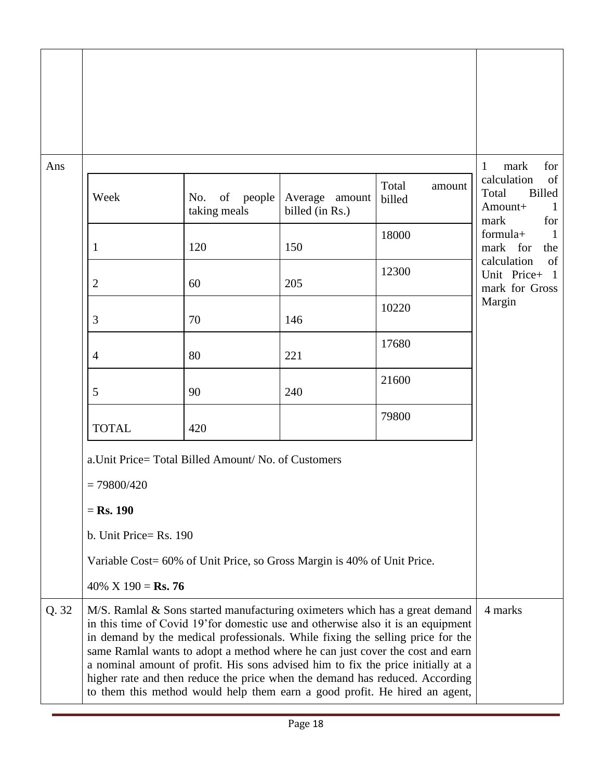| Ans   |                           |                                                                         |                                      |                                                                                                                                                                                                                                                                                                                                                                                                                                                                                                                                                                                      | for<br>1<br>mark                                                               |
|-------|---------------------------|-------------------------------------------------------------------------|--------------------------------------|--------------------------------------------------------------------------------------------------------------------------------------------------------------------------------------------------------------------------------------------------------------------------------------------------------------------------------------------------------------------------------------------------------------------------------------------------------------------------------------------------------------------------------------------------------------------------------------|--------------------------------------------------------------------------------|
|       | Week                      | of<br>No.<br>people<br>taking meals                                     | Average<br>amount<br>billed (in Rs.) | Total<br>amount<br>billed                                                                                                                                                                                                                                                                                                                                                                                                                                                                                                                                                            | calculation<br>of<br>Billed<br>Total<br>$\mathbf{1}$<br>Amount+<br>for<br>mark |
|       | 1                         | 120                                                                     | 150                                  | 18000                                                                                                                                                                                                                                                                                                                                                                                                                                                                                                                                                                                | formula+<br>1<br>mark for<br>the                                               |
|       | 2                         | 60                                                                      | 205                                  | 12300                                                                                                                                                                                                                                                                                                                                                                                                                                                                                                                                                                                | of<br>calculation<br>Unit Price+<br>$\mathbf{1}$<br>mark for Gross             |
|       | 3                         | 70                                                                      | 146                                  | 10220                                                                                                                                                                                                                                                                                                                                                                                                                                                                                                                                                                                | Margin                                                                         |
|       | 4                         | 80                                                                      | 221                                  | 17680                                                                                                                                                                                                                                                                                                                                                                                                                                                                                                                                                                                |                                                                                |
|       | 5                         | 90                                                                      | 240                                  | 21600                                                                                                                                                                                                                                                                                                                                                                                                                                                                                                                                                                                |                                                                                |
|       | <b>TOTAL</b>              | 420                                                                     |                                      | 79800                                                                                                                                                                                                                                                                                                                                                                                                                                                                                                                                                                                |                                                                                |
|       |                           | a. Unit Price= Total Billed Amount/ No. of Customers                    |                                      |                                                                                                                                                                                                                                                                                                                                                                                                                                                                                                                                                                                      |                                                                                |
|       | $= 79800/420$             |                                                                         |                                      |                                                                                                                                                                                                                                                                                                                                                                                                                                                                                                                                                                                      |                                                                                |
|       | $=$ Rs. 190               |                                                                         |                                      |                                                                                                                                                                                                                                                                                                                                                                                                                                                                                                                                                                                      |                                                                                |
|       | b. Unit Price= $Rs. 190$  |                                                                         |                                      |                                                                                                                                                                                                                                                                                                                                                                                                                                                                                                                                                                                      |                                                                                |
|       |                           | Variable Cost= 60% of Unit Price, so Gross Margin is 40% of Unit Price. |                                      |                                                                                                                                                                                                                                                                                                                                                                                                                                                                                                                                                                                      |                                                                                |
|       | 40% X 190 = <b>Rs. 76</b> |                                                                         |                                      |                                                                                                                                                                                                                                                                                                                                                                                                                                                                                                                                                                                      |                                                                                |
| Q. 32 |                           |                                                                         |                                      | M/S. Ramlal & Sons started manufacturing oximeters which has a great demand<br>in this time of Covid 19' for domestic use and otherwise also it is an equipment<br>in demand by the medical professionals. While fixing the selling price for the<br>same Ramlal wants to adopt a method where he can just cover the cost and earn<br>a nominal amount of profit. His sons advised him to fix the price initially at a<br>higher rate and then reduce the price when the demand has reduced. According<br>to them this method would help them earn a good profit. He hired an agent, | 4 marks                                                                        |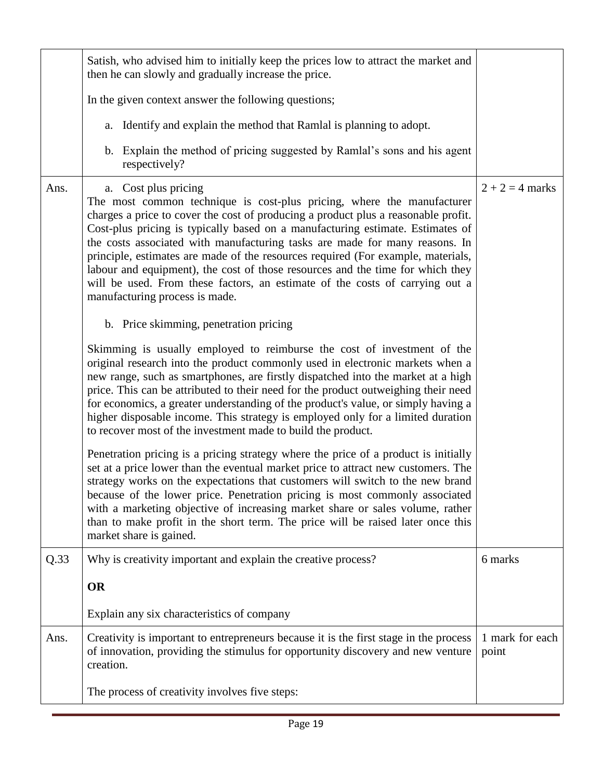|      | Satish, who advised him to initially keep the prices low to attract the market and<br>then he can slowly and gradually increase the price.                                                                                                                                                                                                                                                                                                                                                                                                                                                                                                    |                          |
|------|-----------------------------------------------------------------------------------------------------------------------------------------------------------------------------------------------------------------------------------------------------------------------------------------------------------------------------------------------------------------------------------------------------------------------------------------------------------------------------------------------------------------------------------------------------------------------------------------------------------------------------------------------|--------------------------|
|      | In the given context answer the following questions;                                                                                                                                                                                                                                                                                                                                                                                                                                                                                                                                                                                          |                          |
|      | a. Identify and explain the method that Ramlal is planning to adopt.                                                                                                                                                                                                                                                                                                                                                                                                                                                                                                                                                                          |                          |
|      | b. Explain the method of pricing suggested by Ramlal's sons and his agent<br>respectively?                                                                                                                                                                                                                                                                                                                                                                                                                                                                                                                                                    |                          |
| Ans. | a. Cost plus pricing<br>The most common technique is cost-plus pricing, where the manufacturer<br>charges a price to cover the cost of producing a product plus a reasonable profit.<br>Cost-plus pricing is typically based on a manufacturing estimate. Estimates of<br>the costs associated with manufacturing tasks are made for many reasons. In<br>principle, estimates are made of the resources required (For example, materials,<br>labour and equipment), the cost of those resources and the time for which they<br>will be used. From these factors, an estimate of the costs of carrying out a<br>manufacturing process is made. | $2 + 2 = 4$ marks        |
|      | b. Price skimming, penetration pricing                                                                                                                                                                                                                                                                                                                                                                                                                                                                                                                                                                                                        |                          |
|      | Skimming is usually employed to reimburse the cost of investment of the<br>original research into the product commonly used in electronic markets when a<br>new range, such as smartphones, are firstly dispatched into the market at a high<br>price. This can be attributed to their need for the product outweighing their need<br>for economics, a greater understanding of the product's value, or simply having a<br>higher disposable income. This strategy is employed only for a limited duration<br>to recover most of the investment made to build the product.                                                                    |                          |
|      | Penetration pricing is a pricing strategy where the price of a product is initially<br>set at a price lower than the eventual market price to attract new customers. The<br>strategy works on the expectations that customers will switch to the new brand<br>because of the lower price. Penetration pricing is most commonly associated<br>with a marketing objective of increasing market share or sales volume, rather<br>than to make profit in the short term. The price will be raised later once this<br>market share is gained.                                                                                                      |                          |
| Q.33 | Why is creativity important and explain the creative process?                                                                                                                                                                                                                                                                                                                                                                                                                                                                                                                                                                                 | 6 marks                  |
|      | <b>OR</b>                                                                                                                                                                                                                                                                                                                                                                                                                                                                                                                                                                                                                                     |                          |
|      | Explain any six characteristics of company                                                                                                                                                                                                                                                                                                                                                                                                                                                                                                                                                                                                    |                          |
| Ans. | Creativity is important to entrepreneurs because it is the first stage in the process<br>of innovation, providing the stimulus for opportunity discovery and new venture<br>creation.                                                                                                                                                                                                                                                                                                                                                                                                                                                         | 1 mark for each<br>point |
|      | The process of creativity involves five steps:                                                                                                                                                                                                                                                                                                                                                                                                                                                                                                                                                                                                |                          |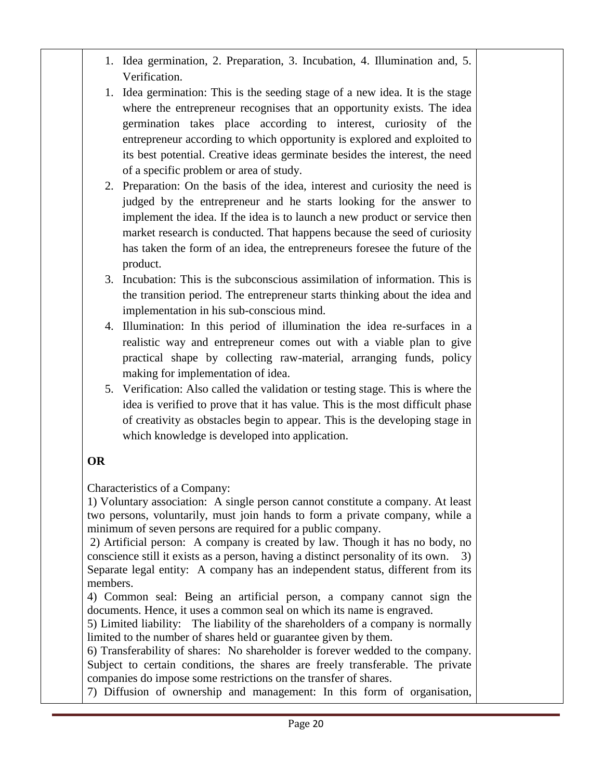- 1. Idea germination, 2. Preparation, 3. Incubation, 4. Illumination and, 5. Verification.
- 1. Idea germination: This is the seeding stage of a new idea. It is the stage where the entrepreneur recognises that an opportunity exists. The idea germination takes place according to interest, curiosity of the entrepreneur according to which opportunity is explored and exploited to its best potential. Creative ideas germinate besides the interest, the need of a specific problem or area of study.
- 2. Preparation: On the basis of the idea, interest and curiosity the need is judged by the entrepreneur and he starts looking for the answer to implement the idea. If the idea is to launch a new product or service then market research is conducted. That happens because the seed of curiosity has taken the form of an idea, the entrepreneurs foresee the future of the product.
- 3. Incubation: This is the subconscious assimilation of information. This is the transition period. The entrepreneur starts thinking about the idea and implementation in his sub-conscious mind.
- 4. Illumination: In this period of illumination the idea re-surfaces in a realistic way and entrepreneur comes out with a viable plan to give practical shape by collecting raw-material, arranging funds, policy making for implementation of idea.
- 5. Verification: Also called the validation or testing stage. This is where the idea is verified to prove that it has value. This is the most difficult phase of creativity as obstacles begin to appear. This is the developing stage in which knowledge is developed into application.

## **OR**

Characteristics of a Company:

1) Voluntary association: A single person cannot constitute a company. At least two persons, voluntarily, must join hands to form a private company, while a minimum of seven persons are required for a public company.

2) Artificial person: A company is created by law. Though it has no body, no conscience still it exists as a person, having a distinct personality of its own. 3) Separate legal entity: A company has an independent status, different from its members.

4) Common seal: Being an artificial person, a company cannot sign the documents. Hence, it uses a common seal on which its name is engraved.

5) Limited liability: The liability of the shareholders of a company is normally limited to the number of shares held or guarantee given by them.

6) Transferability of shares: No shareholder is forever wedded to the company. Subject to certain conditions, the shares are freely transferable. The private companies do impose some restrictions on the transfer of shares.

7) Diffusion of ownership and management: In this form of organisation,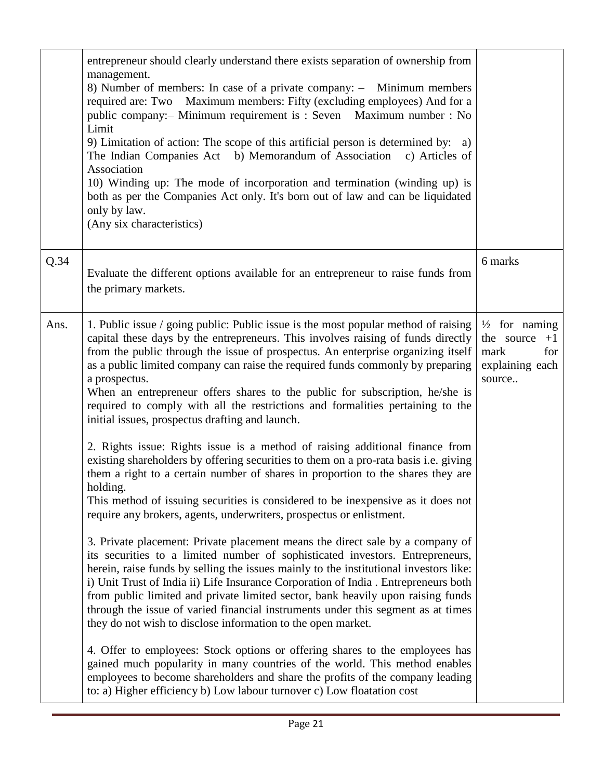|      | entrepreneur should clearly understand there exists separation of ownership from<br>management.<br>8) Number of members: In case of a private company: - Minimum members<br>required are: Two Maximum members: Fifty (excluding employees) And for a<br>public company:- Minimum requirement is : Seven Maximum number : No<br>Limit<br>9) Limitation of action: The scope of this artificial person is determined by: a)<br>The Indian Companies Act b) Memorandum of Association<br>c) Articles of<br>Association<br>10) Winding up: The mode of incorporation and termination (winding up) is<br>both as per the Companies Act only. It's born out of law and can be liquidated<br>only by law.<br>(Any six characteristics) |                                                                                            |
|------|---------------------------------------------------------------------------------------------------------------------------------------------------------------------------------------------------------------------------------------------------------------------------------------------------------------------------------------------------------------------------------------------------------------------------------------------------------------------------------------------------------------------------------------------------------------------------------------------------------------------------------------------------------------------------------------------------------------------------------|--------------------------------------------------------------------------------------------|
| Q.34 | Evaluate the different options available for an entrepreneur to raise funds from<br>the primary markets.                                                                                                                                                                                                                                                                                                                                                                                                                                                                                                                                                                                                                        | 6 marks                                                                                    |
| Ans. | 1. Public issue / going public: Public issue is the most popular method of raising<br>capital these days by the entrepreneurs. This involves raising of funds directly<br>from the public through the issue of prospectus. An enterprise organizing itself<br>as a public limited company can raise the required funds commonly by preparing<br>a prospectus.<br>When an entrepreneur offers shares to the public for subscription, he/she is<br>required to comply with all the restrictions and formalities pertaining to the<br>initial issues, prospectus drafting and launch.                                                                                                                                              | $\frac{1}{2}$ for naming<br>the source<br>$+1$<br>mark<br>for<br>explaining each<br>source |
|      | 2. Rights issue: Rights issue is a method of raising additional finance from<br>existing shareholders by offering securities to them on a pro-rata basis i.e. giving<br>them a right to a certain number of shares in proportion to the shares they are<br>holding.<br>This method of issuing securities is considered to be inexpensive as it does not<br>require any brokers, agents, underwriters, prospectus or enlistment.                                                                                                                                                                                                                                                                                                 |                                                                                            |
|      | 3. Private placement: Private placement means the direct sale by a company of<br>its securities to a limited number of sophisticated investors. Entrepreneurs,<br>herein, raise funds by selling the issues mainly to the institutional investors like:<br>i) Unit Trust of India ii) Life Insurance Corporation of India . Entrepreneurs both<br>from public limited and private limited sector, bank heavily upon raising funds<br>through the issue of varied financial instruments under this segment as at times<br>they do not wish to disclose information to the open market.                                                                                                                                           |                                                                                            |
|      | 4. Offer to employees: Stock options or offering shares to the employees has<br>gained much popularity in many countries of the world. This method enables<br>employees to become shareholders and share the profits of the company leading<br>to: a) Higher efficiency b) Low labour turnover c) Low floatation cost                                                                                                                                                                                                                                                                                                                                                                                                           |                                                                                            |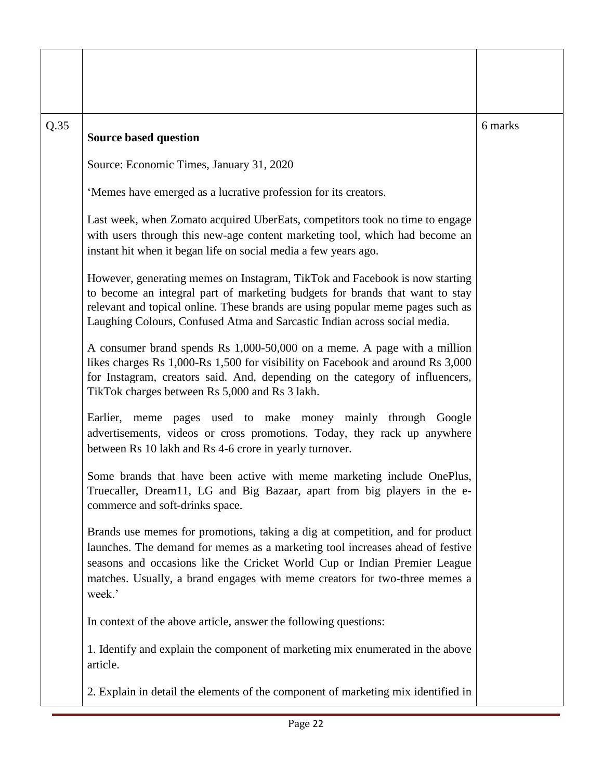| Q.35 | <b>Source based question</b>                                                                                                                                                                                                                                                                                                        | 6 marks |
|------|-------------------------------------------------------------------------------------------------------------------------------------------------------------------------------------------------------------------------------------------------------------------------------------------------------------------------------------|---------|
|      | Source: Economic Times, January 31, 2020                                                                                                                                                                                                                                                                                            |         |
|      | 'Memes have emerged as a lucrative profession for its creators.                                                                                                                                                                                                                                                                     |         |
|      | Last week, when Zomato acquired UberEats, competitors took no time to engage<br>with users through this new-age content marketing tool, which had become an<br>instant hit when it began life on social media a few years ago.                                                                                                      |         |
|      | However, generating memes on Instagram, TikTok and Facebook is now starting<br>to become an integral part of marketing budgets for brands that want to stay<br>relevant and topical online. These brands are using popular meme pages such as<br>Laughing Colours, Confused Atma and Sarcastic Indian across social media.          |         |
|      | A consumer brand spends Rs 1,000-50,000 on a meme. A page with a million<br>likes charges Rs 1,000-Rs 1,500 for visibility on Facebook and around Rs 3,000<br>for Instagram, creators said. And, depending on the category of influencers,<br>TikTok charges between Rs 5,000 and Rs 3 lakh.                                        |         |
|      | meme pages used to make money mainly through Google<br>Earlier,<br>advertisements, videos or cross promotions. Today, they rack up anywhere<br>between Rs 10 lakh and Rs 4-6 crore in yearly turnover.                                                                                                                              |         |
|      | Some brands that have been active with meme marketing include OnePlus,<br>Truecaller, Dream11, LG and Big Bazaar, apart from big players in the e-<br>commerce and soft-drinks space.                                                                                                                                               |         |
|      | Brands use memes for promotions, taking a dig at competition, and for product<br>launches. The demand for memes as a marketing tool increases ahead of festive<br>seasons and occasions like the Cricket World Cup or Indian Premier League<br>matches. Usually, a brand engages with meme creators for two-three memes a<br>week.' |         |
|      | In context of the above article, answer the following questions:                                                                                                                                                                                                                                                                    |         |
|      | 1. Identify and explain the component of marketing mix enumerated in the above<br>article.                                                                                                                                                                                                                                          |         |
|      | 2. Explain in detail the elements of the component of marketing mix identified in                                                                                                                                                                                                                                                   |         |